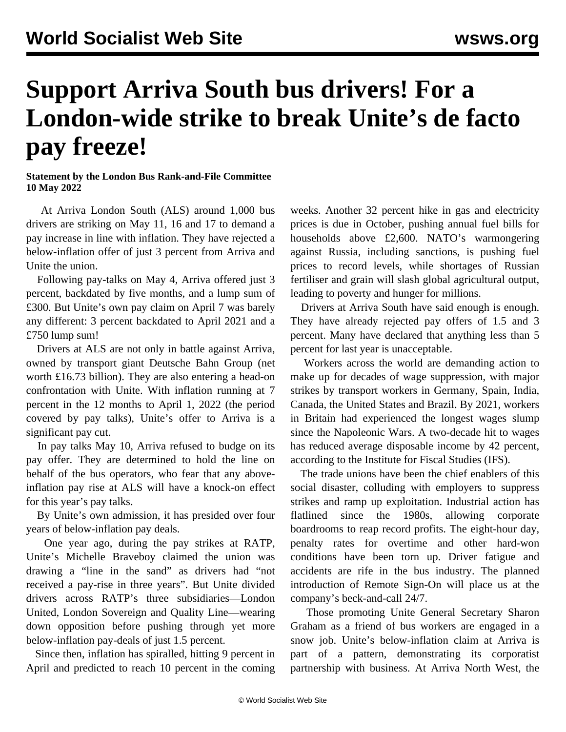## **Support Arriva South bus drivers! For a London-wide strike to break Unite's de facto pay freeze!**

## **Statement by the London Bus Rank-and-File Committee 10 May 2022**

 At Arriva London South (ALS) around 1,000 bus drivers are striking on May 11, 16 and 17 to demand a pay increase in line with inflation. They have rejected a below-inflation offer of just 3 percent from Arriva and Unite the union.

 Following pay-talks on May 4, Arriva offered just 3 percent, backdated by five months, and a lump sum of £300. But Unite's own pay claim on April 7 was barely any different: 3 percent backdated to April 2021 and a £750 lump sum!

 Drivers at ALS are not only in battle against Arriva, owned by transport giant Deutsche Bahn Group (net worth £16.73 billion). They are also entering a head-on confrontation with Unite. With inflation running at 7 percent in the 12 months to April 1, 2022 (the period covered by pay talks), Unite's offer to Arriva is a significant pay cut.

 In pay talks May 10, Arriva refused to budge on its pay offer. They are determined to hold the line on behalf of the bus operators, who fear that any aboveinflation pay rise at ALS will have a knock-on effect for this year's pay talks.

 By Unite's own admission, it has presided over four years of below-inflation pay deals.

 One year ago, during the pay strikes at RATP, Unite's Michelle Braveboy claimed the union was drawing a "line in the sand" as drivers had "not received a pay-rise in three years". But Unite divided drivers across RATP's three subsidiaries—London United, London Sovereign and Quality Line—wearing down opposition before pushing through yet more below-inflation pay-deals of just 1.5 percent.

 Since then, inflation has spiralled, hitting 9 percent in April and predicted to reach 10 percent in the coming weeks. Another 32 percent hike in gas and electricity prices is due in October, pushing annual fuel bills for households above £2,600. NATO's warmongering against Russia, including sanctions, is pushing fuel prices to record levels, while shortages of Russian fertiliser and grain will slash global agricultural output, leading to poverty and hunger for millions.

 Drivers at Arriva South have said enough is enough. They have already rejected pay offers of 1.5 and 3 percent. Many have declared that anything less than 5 percent for last year is unacceptable.

 Workers across the world are demanding action to make up for decades of wage suppression, with major strikes by transport workers in Germany, Spain, India, Canada, the United States and Brazil. By 2021, workers in Britain had experienced the longest wages slump since the Napoleonic Wars. A two-decade hit to wages has reduced average disposable income by 42 percent, according to the Institute for Fiscal Studies (IFS).

 The trade unions have been the chief enablers of this social disaster, colluding with employers to suppress strikes and ramp up exploitation. Industrial action has flatlined since the 1980s, allowing corporate boardrooms to reap record profits. The eight-hour day, penalty rates for overtime and other hard-won conditions have been torn up. Driver fatigue and accidents are rife in the bus industry. The planned introduction of Remote Sign-On will place us at the company's beck-and-call 24/7.

 Those promoting Unite General Secretary Sharon Graham as a friend of bus workers are engaged in a snow job. Unite's below-inflation claim at Arriva is part of a pattern, demonstrating its corporatist partnership with business. At Arriva North West, the